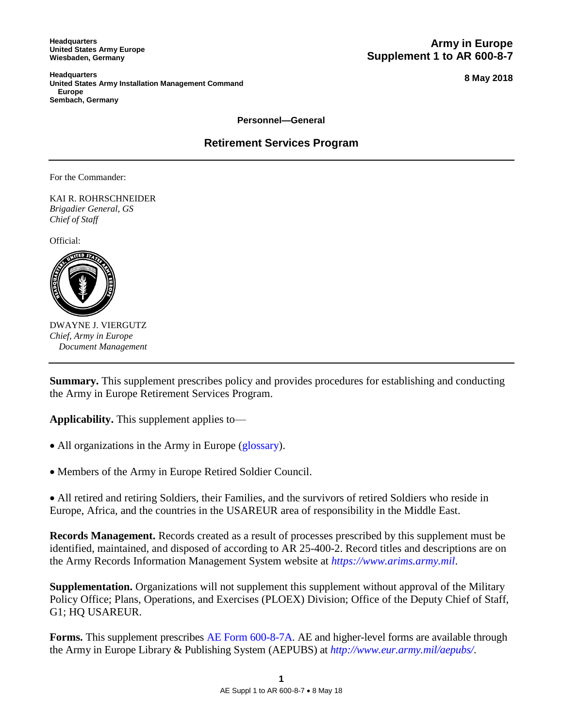**Headquarters United States Army Europe Wiesbaden, Germany**

**Army in Europe Supplement 1 to AR 600-8-7**

**Headquarters United States Army Installation Management Command Europe Sembach, Germany**

**8 May 2018**

**Personnel—General** 

**Retirement Services Program** 

For the Commander:

KAI R. ROHRSCHNEIDER *Brigadier General, GS Chief of Staff* 

Official:



DWAYNE J. VIERGUTZ *Chief, Army in Europe Document Management* 

**Summary.** This supplement prescribes policy and provides procedures for establishing and conducting the Army in Europe Retirement Services Program.

**Applicability.** This supplement applies to—

- All organizations in the Army in Europe [\(glossary\)](#page-20-0).
- Members of the Army in Europe Retired Soldier Council.

 All retired and retiring Soldiers, their Families, and the survivors of retired Soldiers who reside in Europe, Africa, and the countries in the USAREUR area of responsibility in the Middle East.

**Records Management.** Records created as a result of processes prescribed by this supplement must be identified, maintained, and disposed of according to AR 25-400-2. Record titles and descriptions are on the Army Records Information Management System website at *https://www.arims.army.mil*.

**Supplementation.** Organizations will not supplement this supplement without approval of the Military Policy Office; Plans, Operations, and Exercises (PLOEX) Division; Office of the Deputy Chief of Staff, G1; HQ USAREUR.

Forms. This supplement prescribes AE Form 600-8-7A. AE and higher-level forms are available through the Army in Europe Library & Publishing System (AEPUBS) at *http://www.eur.army.mil/aepubs/*.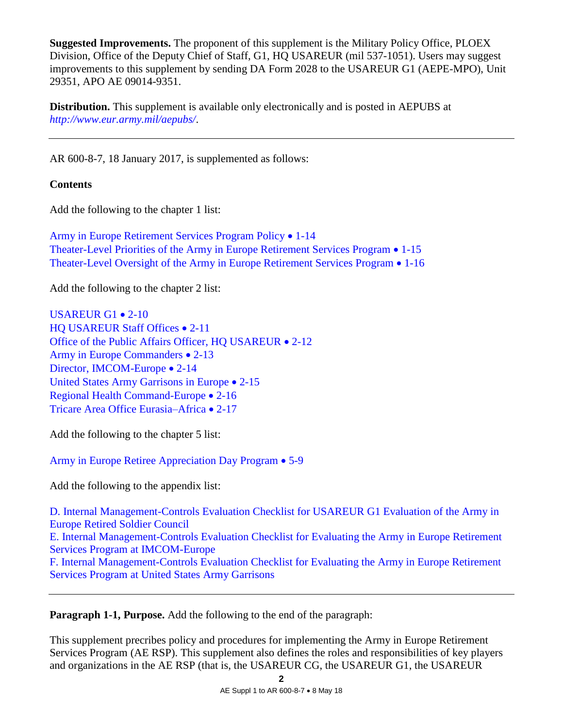**Suggested Improvements.** The proponent of this supplement is the Military Policy Office, PLOEX Division, Office of the Deputy Chief of Staff, G1, HQ USAREUR (mil 537-1051). Users may suggest improvements to this supplement by sending DA Form 2028 to the USAREUR G1 (AEPE-MPO), Unit 29351, APO AE 09014-9351.

**Distribution.** This supplement is available only electronically and is posted in AEPUBS at *http://www.eur.army.mil/aepubs/*.

AR 600-8-7, 18 January 2017, is supplemented as follows:

## **Contents**

Add the following to the chapter 1 list:

[Army in Europe Retirement Services Program Policy](#page-2-0) • 1-14 [Theater-Level Priorities of the Army in Europe Retirement Services Program](#page-3-0)  1-15 [Theater-Level Oversight of the Army in Europe Retirement Services Program](#page-3-1) • 1-16

Add the following to the chapter 2 list:

USAREUR G $1 \cdot 2 - 10$ [HQ USAREUR Staff Offices](#page-5-0)  $\bullet$  2-11 [Office of the Public Affairs Officer, HQ USAREUR](#page-5-1) . 2-12 [Army in Europe Commanders](#page-5-2)  $\bullet$  2-13 [Director, IMCOM-Europe](#page-5-3) • 2-14 [United States Army Garrisons in Europe](#page-6-0) • 2-15 [Regional Health Command-Europe](#page-7-0) • 2-16 [Tricare Area Office Eurasia–Africa](#page-7-1) • 2-17

Add the following to the chapter 5 list:

[Army in Europe Retiree Appreciation Day Program](#page-10-0)  5-9

Add the following to the appendix list:

[D. Internal Management-Controls Evaluation Checklist for USAREUR G1 Evaluation of the Army in](#page-14-0)  [Europe Retired Soldier Council](#page-14-0) [E. Internal Management-Controls Evaluation Checklist for Evaluating the Army in](#page-15-0) Europe Retirement [Services Program at IMCOM-Europe](#page-15-0) [F. Internal Management-Controls Evaluation Checklist for Evaluating the Army in Europe Retirement](#page-16-0)  [Services Program at United States Army Garrisons](#page-16-0)

**Paragraph 1-1, Purpose.** Add the following to the end of the paragraph:

This supplement precribes policy and procedures for implementing the Army in Europe Retirement Services Program (AE RSP). This supplement also defines the roles and responsibilities of key players and organizations in the AE RSP (that is, the USAREUR CG, the USAREUR G1, the USAREUR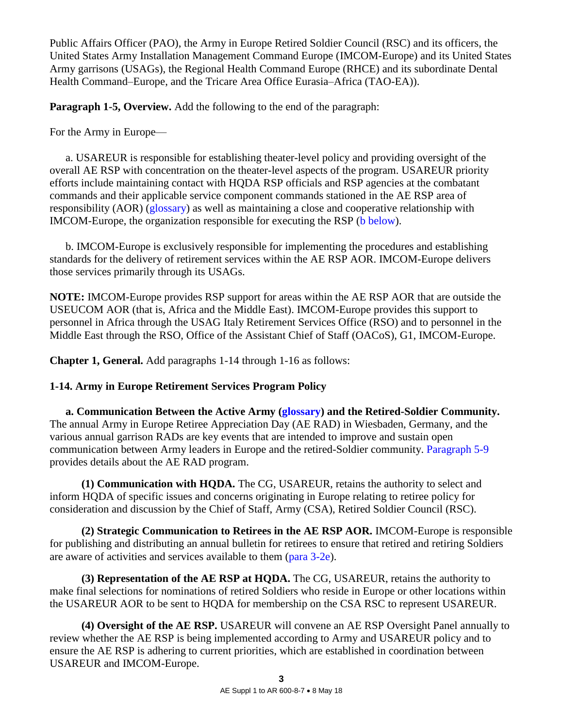Public Affairs Officer (PAO), the Army in Europe Retired Soldier Council (RSC) and its officers, the United States Army Installation Management Command Europe (IMCOM-Europe) and its United States Army garrisons (USAGs), the Regional Health Command Europe (RHCE) and its subordinate Dental Health Command–Europe, and the Tricare Area Office Eurasia–Africa (TAO-EA)).

**Paragraph 1-5, Overview.** Add the following to the end of the paragraph:

For the Army in Europe—

 a. USAREUR is responsible for establishing theater-level policy and providing oversight of the overall AE RSP with concentration on the theater-level aspects of the program. USAREUR priority efforts include maintaining contact with HQDA RSP officials and RSP agencies at the combatant commands and their applicable service component commands stationed in the AE RSP area of responsibility (AOR) [\(glossary\)](#page-20-1) as well as maintaining a close and cooperative relationship with IMCOM-Europe, the organization responsible for executing the RSP [\(b below\)](#page-2-1).

<span id="page-2-1"></span> b. IMCOM-Europe is exclusively responsible for implementing the procedures and establishing standards for the delivery of retirement services within the AE RSP AOR. IMCOM-Europe delivers those services primarily through its USAGs.

**NOTE:** IMCOM-Europe provides RSP support for areas within the AE RSP AOR that are outside the USEUCOM AOR (that is, Africa and the Middle East). IMCOM-Europe provides this support to personnel in Africa through the USAG Italy Retirement Services Office (RSO) and to personnel in the Middle East through the RSO, Office of the Assistant Chief of Staff (OACoS), G1, IMCOM-Europe.

**Chapter 1, General.** Add paragraphs 1-14 through 1-16 as follows:

# <span id="page-2-0"></span>**1-14. Army in Europe Retirement Services Program Policy**

 **a. Communication Between the Active Army [\(glossary\)](#page-19-0) and the Retired-Soldier Community.** The annual Army in Europe Retiree Appreciation Day (AE RAD) in Wiesbaden, Germany, and the various annual garrison RADs are key events that are intended to improve and sustain open communication between Army leaders in Europe and the retired-Soldier community. [Paragraph 5-9](#page-10-0) provides details about the AE RAD program.

 **(1) Communication with HQDA.** The CG, USAREUR, retains the authority to select and inform HQDA of specific issues and concerns originating in Europe relating to retiree policy for consideration and discussion by the Chief of Staff, Army (CSA), Retired Soldier Council (RSC).

 **(2) Strategic Communication to Retirees in the AE RSP AOR.** IMCOM-Europe is responsible for publishing and distributing an annual bulletin for retirees to ensure that retired and retiring Soldiers are aware of activities and services available to them [\(para 3-2e\)](#page-7-2).

 **(3) Representation of the AE RSP at HQDA.** The CG, USAREUR, retains the authority to make final selections for nominations of retired Soldiers who reside in Europe or other locations within the USAREUR AOR to be sent to HQDA for membership on the CSA RSC to represent USAREUR.

 **(4) Oversight of the AE RSP.** USAREUR will convene an AE RSP Oversight Panel annually to review whether the AE RSP is being implemented according to Army and USAREUR policy and to ensure the AE RSP is adhering to current priorities, which are established in coordination between USAREUR and IMCOM-Europe.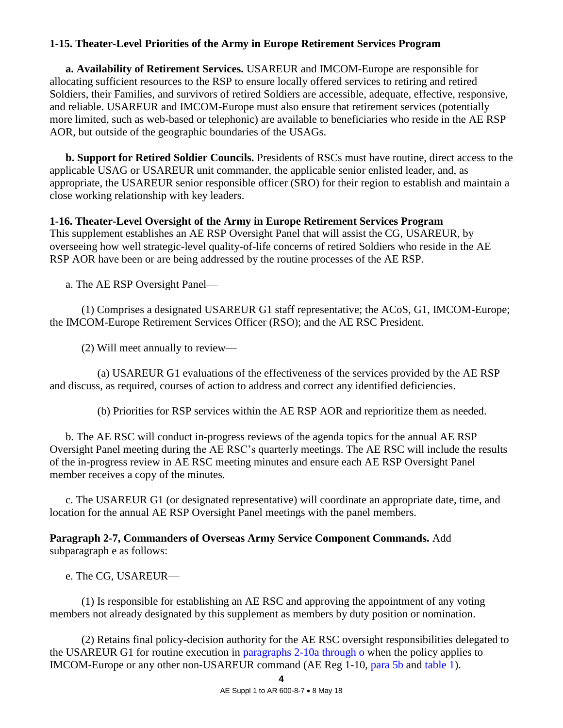# <span id="page-3-0"></span>**1-15. Theater-Level Priorities of the Army in Europe Retirement Services Program**

 **a. Availability of Retirement Services.** USAREUR and IMCOM-Europe are responsible for allocating sufficient resources to the RSP to ensure locally offered services to retiring and retired Soldiers, their Families, and survivors of retired Soldiers are accessible, adequate, effective, responsive, and reliable. USAREUR and IMCOM-Europe must also ensure that retirement services (potentially more limited, such as web-based or telephonic) are available to beneficiaries who reside in the AE RSP AOR, but outside of the geographic boundaries of the USAGs.

**b. Support for Retired Soldier Councils.** Presidents of RSCs must have routine, direct access to the applicable USAG or USAREUR unit commander, the applicable senior enlisted leader, and, as appropriate, the USAREUR senior responsible officer (SRO) for their region to establish and maintain a close working relationship with key leaders.

## <span id="page-3-1"></span>**1-16. Theater-Level Oversight of the Army in Europe Retirement Services Program**

This supplement establishes an AE RSP Oversight Panel that will assist the CG, USAREUR, by overseeing how well strategic-level quality-of-life concerns of retired Soldiers who reside in the AE RSP AOR have been or are being addressed by the routine processes of the AE RSP.

a. The AE RSP Oversight Panel—

 (1) Comprises a designated USAREUR G1 staff representative; the ACoS, G1, IMCOM-Europe; the IMCOM-Europe Retirement Services Officer (RSO); and the AE RSC President.

(2) Will meet annually to review—

 (a) USAREUR G1 evaluations of the effectiveness of the services provided by the AE RSP and discuss, as required, courses of action to address and correct any identified deficiencies.

(b) Priorities for RSP services within the AE RSP AOR and reprioritize them as needed.

 b. The AE RSC will conduct in-progress reviews of the agenda topics for the annual AE RSP Oversight Panel meeting during the AE RSC's quarterly meetings. The AE RSC will include the results of the in-progress review in AE RSC meeting minutes and ensure each AE RSP Oversight Panel member receives a copy of the minutes.

 c. The USAREUR G1 (or designated representative) will coordinate an appropriate date, time, and location for the annual AE RSP Oversight Panel meetings with the panel members.

**Paragraph 2-7, Commanders of Overseas Army Service Component Commands.** Add subparagraph e as follows:

e. The CG, USAREUR—

 (1) Is responsible for establishing an AE RSC and approving the appointment of any voting members not already designated by this supplement as members by duty position or nomination.

 (2) Retains final policy-decision authority for the AE RSC oversight responsibilities delegated to the USAREUR G1 for routine execution in [paragraphs 2-10a through o](#page-4-1) when the policy applies to IMCOM-Europe or any other non-USAREUR command (AE Reg 1-10, [para 5b](http://www.eur.army.mil/aepubs/publications/AER1-10.pdf#page=6) and [table 1\)](http://www.eur.army.mil/aepubs/publications/AER1-10.pdf#page=7).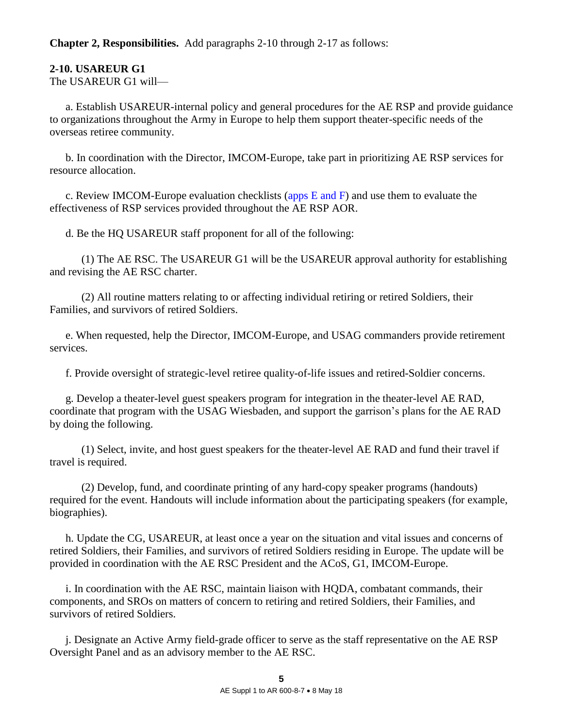**Chapter 2, Responsibilities.** Add paragraphs 2-10 through 2-17 as follows:

# <span id="page-4-0"></span>**2-10. USAREUR G1**

The USAREUR G1 will—

<span id="page-4-1"></span> a. Establish USAREUR-internal policy and general procedures for the AE RSP and provide guidance to organizations throughout the Army in Europe to help them support theater-specific needs of the overseas retiree community.

 b. In coordination with the Director, IMCOM-Europe, take part in prioritizing AE RSP services for resource allocation.

c. Review IMCOM-Europe evaluation checklists (apps  $E$  and  $F$ ) and use them to evaluate the effectiveness of RSP services provided throughout the AE RSP AOR.

d. Be the HQ USAREUR staff proponent for all of the following:

 (1) The AE RSC. The USAREUR G1 will be the USAREUR approval authority for establishing and revising the AE RSC charter.

 (2) All routine matters relating to or affecting individual retiring or retired Soldiers, their Families, and survivors of retired Soldiers.

e. When requested, help the Director, IMCOM-Europe, and USAG commanders provide retirement services.

f. Provide oversight of strategic-level retiree quality-of-life issues and retired-Soldier concerns.

g. Develop a theater-level guest speakers program for integration in the theater-level AE RAD, coordinate that program with the USAG Wiesbaden, and support the garrison's plans for the AE RAD by doing the following.

 (1) Select, invite, and host guest speakers for the theater-level AE RAD and fund their travel if travel is required.

 (2) Develop, fund, and coordinate printing of any hard-copy speaker programs (handouts) required for the event. Handouts will include information about the participating speakers (for example, biographies).

 h. Update the CG, USAREUR, at least once a year on the situation and vital issues and concerns of retired Soldiers, their Families, and survivors of retired Soldiers residing in Europe. The update will be provided in coordination with the AE RSC President and the ACoS, G1, IMCOM-Europe.

 i. In coordination with the AE RSC, maintain liaison with HQDA, combatant commands, their components, and SROs on matters of concern to retiring and retired Soldiers, their Families, and survivors of retired Soldiers.

 j. Designate an Active Army field-grade officer to serve as the staff representative on the AE RSP Oversight Panel and as an advisory member to the AE RSC.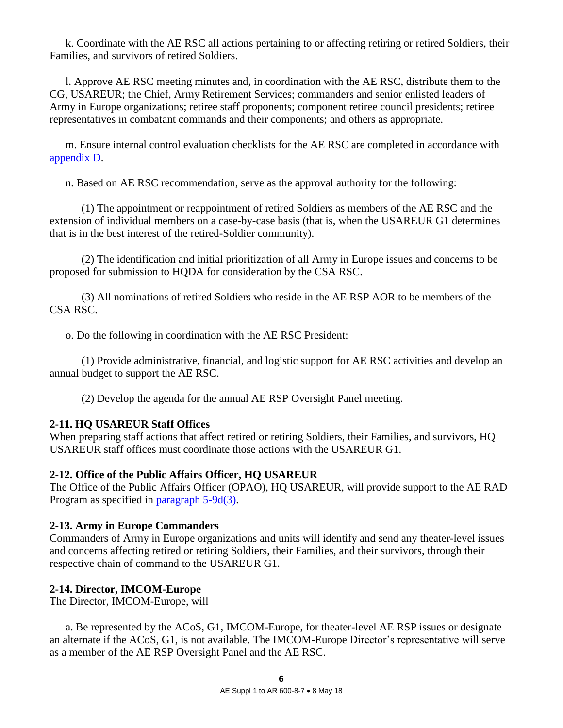k. Coordinate with the AE RSC all actions pertaining to or affecting retiring or retired Soldiers, their Families, and survivors of retired Soldiers.

 l. Approve AE RSC meeting minutes and, in coordination with the AE RSC, distribute them to the CG, USAREUR; the Chief, Army Retirement Services; commanders and senior enlisted leaders of Army in Europe organizations; retiree staff proponents; component retiree council presidents; retiree representatives in combatant commands and their components; and others as appropriate.

 m. Ensure internal control evaluation checklists for the AE RSC are completed in accordance with [appendix D.](#page-14-0)

n. Based on AE RSC recommendation, serve as the approval authority for the following:

 (1) The appointment or reappointment of retired Soldiers as members of the AE RSC and the extension of individual members on a case-by-case basis (that is, when the USAREUR G1 determines that is in the best interest of the retired-Soldier community).

 (2) The identification and initial prioritization of all Army in Europe issues and concerns to be proposed for submission to HQDA for consideration by the CSA RSC.

 (3) All nominations of retired Soldiers who reside in the AE RSP AOR to be members of the CSA RSC.

o. Do the following in coordination with the AE RSC President:

 (1) Provide administrative, financial, and logistic support for AE RSC activities and develop an annual budget to support the AE RSC.

(2) Develop the agenda for the annual AE RSP Oversight Panel meeting.

# <span id="page-5-0"></span>**2-11. HQ USAREUR Staff Offices**

When preparing staff actions that affect retired or retiring Soldiers, their Families, and survivors, HQ USAREUR staff offices must coordinate those actions with the USAREUR G1.

# <span id="page-5-1"></span>**2-12. Office of the Public Affairs Officer, HQ USAREUR**

The Office of the Public Affairs Officer (OPAO), HQ USAREUR, will provide support to the AE RAD Program as specified in [paragraph 5-9d\(3\).](#page-12-0)

# <span id="page-5-2"></span>**2-13. Army in Europe Commanders**

Commanders of Army in Europe organizations and units will identify and send any theater-level issues and concerns affecting retired or retiring Soldiers, their Families, and their survivors, through their respective chain of command to the USAREUR G1.

# <span id="page-5-3"></span>**2-14. Director, IMCOM-Europe**

The Director, IMCOM-Europe, will—

 a. Be represented by the ACoS, G1, IMCOM-Europe, for theater-level AE RSP issues or designate an alternate if the ACoS, G1, is not available. The IMCOM-Europe Director's representative will serve as a member of the AE RSP Oversight Panel and the AE RSC.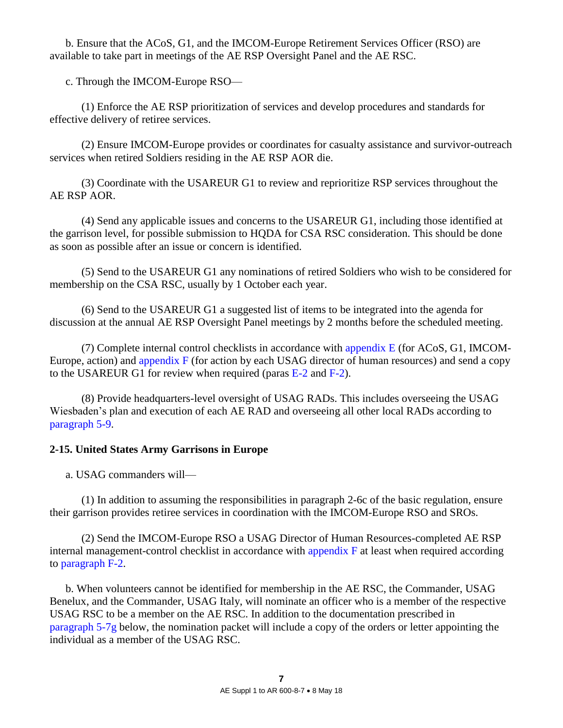b. Ensure that the ACoS, G1, and the IMCOM-Europe Retirement Services Officer (RSO) are available to take part in meetings of the AE RSP Oversight Panel and the AE RSC.

c. Through the IMCOM-Europe RSO—

 (1) Enforce the AE RSP prioritization of services and develop procedures and standards for effective delivery of retiree services.

 (2) Ensure IMCOM-Europe provides or coordinates for casualty assistance and survivor-outreach services when retired Soldiers residing in the AE RSP AOR die.

 (3) Coordinate with the USAREUR G1 to review and reprioritize RSP services throughout the AE RSP AOR.

 (4) Send any applicable issues and concerns to the USAREUR G1, including those identified at the garrison level, for possible submission to HQDA for CSA RSC consideration. This should be done as soon as possible after an issue or concern is identified.

 (5) Send to the USAREUR G1 any nominations of retired Soldiers who wish to be considered for membership on the CSA RSC, usually by 1 October each year.

 (6) Send to the USAREUR G1 a suggested list of items to be integrated into the agenda for discussion at the annual AE RSP Oversight Panel meetings by 2 months before the scheduled meeting.

(7) Complete internal control checklists in accordance with appendix  $E$  (for ACoS, G1, IMCOM-Europe, action) and [appendix F](#page-16-0) (for action by each USAG director of human resources) and send a copy to the USAREUR G1 for review when required (paras  $E-2$  and  $F-2$ ).

 (8) Provide headquarters-level oversight of USAG RADs. This includes overseeing the USAG Wiesbaden's plan and execution of each AE RAD and overseeing all other local RADs according to [paragraph 5-9.](#page-10-0)

# <span id="page-6-0"></span>**2-15. United States Army Garrisons in Europe**

a. USAG commanders will—

 (1) In addition to assuming the responsibilities in paragraph 2-6c of the basic regulation, ensure their garrison provides retiree services in coordination with the IMCOM-Europe RSO and SROs.

 (2) Send the IMCOM-Europe RSO a USAG Director of Human Resources-completed AE RSP internal management-control checklist in accordance with [appendix F](#page-16-0) at least when required according to [paragraph F-2.](#page-16-1)

 b. When volunteers cannot be identified for membership in the AE RSC, the Commander, USAG Benelux, and the Commander, USAG Italy, will nominate an officer who is a member of the respective USAG RSC to be a member on the AE RSC. In addition to the documentation prescribed in [paragraph 5-7g](#page-10-1) below, the nomination packet will include a copy of the orders or letter appointing the individual as a member of the USAG RSC.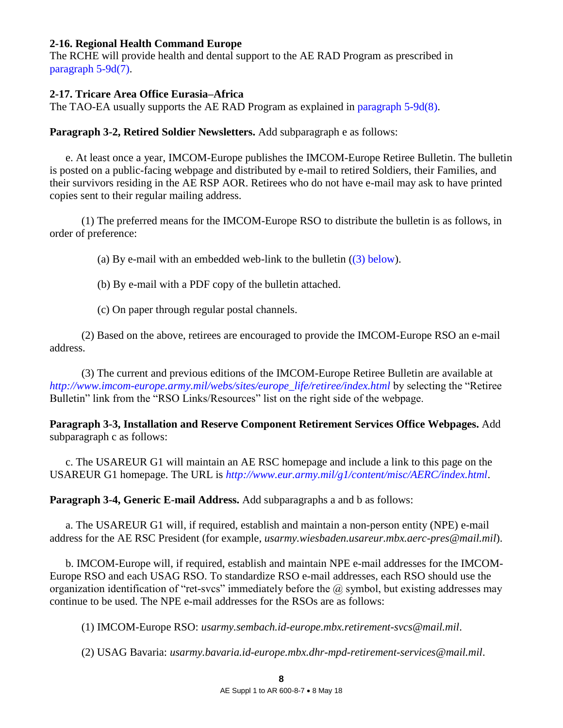### <span id="page-7-0"></span>**2-16. Regional Health Command Europe**

The RCHE will provide health and dental support to the AE RAD Program as prescribed in [paragraph 5-9d\(7\).](#page-13-0)

## <span id="page-7-1"></span>**2-17. Tricare Area Office Eurasia–Africa**

The TAO-EA usually supports the AE RAD Program as explained in [paragraph 5-9d\(8\).](#page-13-1)

**Paragraph 3-2, Retired Soldier Newsletters.** Add subparagraph e as follows:

<span id="page-7-2"></span> e. At least once a year, IMCOM-Europe publishes the IMCOM-Europe Retiree Bulletin. The bulletin is posted on a public-facing webpage and distributed by e-mail to retired Soldiers, their Families, and their survivors residing in the AE RSP AOR. Retirees who do not have e-mail may ask to have printed copies sent to their regular mailing address.

 (1) The preferred means for the IMCOM-Europe RSO to distribute the bulletin is as follows, in order of preference:

(a) By e-mail with an embedded web-link to the bulletin  $((3)$  below).

(b) By e-mail with a PDF copy of the bulletin attached.

(c) On paper through regular postal channels.

 (2) Based on the above, retirees are encouraged to provide the IMCOM-Europe RSO an e-mail address.

<span id="page-7-3"></span> (3) The current and previous editions of the IMCOM-Europe Retiree Bulletin are available at *http://www.imcom-europe.army.mil/webs/sites/europe\_life/retiree/index.html* by selecting the "Retiree Bulletin" link from the "RSO Links/Resources" list on the right side of the webpage.

**Paragraph 3-3, Installation and Reserve Component Retirement Services Office Webpages.** Add subparagraph c as follows:

 c. The USAREUR G1 will maintain an AE RSC homepage and include a link to this page on the USAREUR G1 homepage. The URL is *http://www.eur.army.mil/g1/content/misc/AERC/index.html*.

**Paragraph 3-4, Generic E-mail Address.** Add subparagraphs a and b as follows:

a. The USAREUR G1 will, if required, establish and maintain a non-person entity (NPE) e-mail address for the AE RSC President (for example, *usarmy.wiesbaden.usareur.mbx.aerc-pres@mail.mil*).

 b. IMCOM-Europe will, if required, establish and maintain NPE e-mail addresses for the IMCOM-Europe RSO and each USAG RSO. To standardize RSO e-mail addresses, each RSO should use the organization identification of "ret-svcs" immediately before the  $\omega$  symbol, but existing addresses may continue to be used. The NPE e-mail addresses for the RSOs are as follows:

(1) IMCOM-Europe RSO: *[usarmy.sembach.id-europe.mbx.retirement-svcs@mail.mil](mailto:usarmy.sembach.id-europe.mbx.retirement-svcs@mail.mil)*.

(2) USAG Bavaria: *[usarmy.bavaria.id-europe.mbx.dhr-mpd-retirement-services@mail.mil](mailto:usarmy.bavaria.id-europe.mbx.dhr-mpd-retirement-services@mail.mil)*.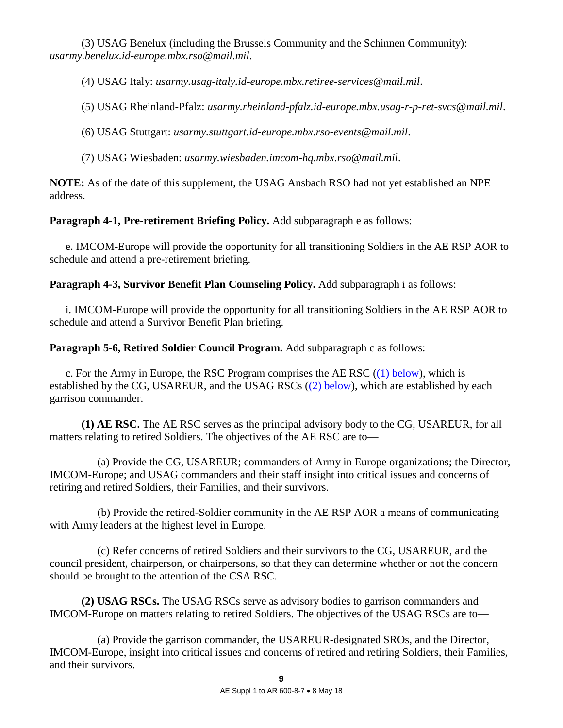(3) USAG Benelux (including the Brussels Community and the Schinnen Community): *[usarmy.benelux.id-europe.mbx.rso@mail.mil](mailto:usarmy.benelux.id-europe.mbx.rso@mail.mil)*.

(4) USAG Italy: *[usarmy.usag-italy.id-europe.mbx.retiree-services@mail.mil](mailto:usarmy.usag-italy.id-europe.mbx.retiree-services@mail.mil)*.

(5) USAG Rheinland-Pfalz: *[usarmy.rheinland-pfalz.id-europe.mbx.usag-r-p-ret-svcs@mail.mil](mailto:usarmy.rheinland-pfalz.id-europe.mbx.usag-r-p-ret-svcs@mail.mil)*.

(6) USAG Stuttgart: *[usarmy.stuttgart.id-europe.mbx.rso-events@mail.mil](mailto:usarmy.stuttgart.id-europe.mbx.rso-events@mail.mil)*.

(7) USAG Wiesbaden: *[usarmy.wiesbaden.imcom-hq.mbx.rso@mail.mil](mailto:usarmy.wiesbaden.imcom-hq.mbx.rso@mail.mil)*.

**NOTE:** As of the date of this supplement, the USAG Ansbach RSO had not yet established an NPE address.

Paragraph 4-1, Pre-retirement Briefing Policy. Add subparagraph e as follows:

 e. IMCOM-Europe will provide the opportunity for all transitioning Soldiers in the AE RSP AOR to schedule and attend a pre-retirement briefing.

**Paragraph 4-3, Survivor Benefit Plan Counseling Policy.** Add subparagraph i as follows:

 i. IMCOM-Europe will provide the opportunity for all transitioning Soldiers in the AE RSP AOR to schedule and attend a Survivor Benefit Plan briefing.

**Paragraph 5-6, Retired Soldier Council Program.** Add subparagraph c as follows:

c. For the Army in Europe, the RSC Program comprises the AE RSC  $((1)$  below), which is established by the CG, USAREUR, and the USAG RSCs [\(\(2\) below\)](#page-8-1), which are established by each garrison commander.

<span id="page-8-0"></span> **(1) AE RSC.** The AE RSC serves as the principal advisory body to the CG, USAREUR, for all matters relating to retired Soldiers. The objectives of the AE RSC are to—

 (a) Provide the CG, USAREUR; commanders of Army in Europe organizations; the Director, IMCOM-Europe; and USAG commanders and their staff insight into critical issues and concerns of retiring and retired Soldiers, their Families, and their survivors.

 (b) Provide the retired-Soldier community in the AE RSP AOR a means of communicating with Army leaders at the highest level in Europe.

 (c) Refer concerns of retired Soldiers and their survivors to the CG, USAREUR, and the council president, chairperson, or chairpersons, so that they can determine whether or not the concern should be brought to the attention of the CSA RSC.

<span id="page-8-1"></span> **(2) USAG RSCs.** The USAG RSCs serve as advisory bodies to garrison commanders and IMCOM-Europe on matters relating to retired Soldiers. The objectives of the USAG RSCs are to—

 (a) Provide the garrison commander, the USAREUR-designated SROs, and the Director, IMCOM-Europe, insight into critical issues and concerns of retired and retiring Soldiers, their Families, and their survivors.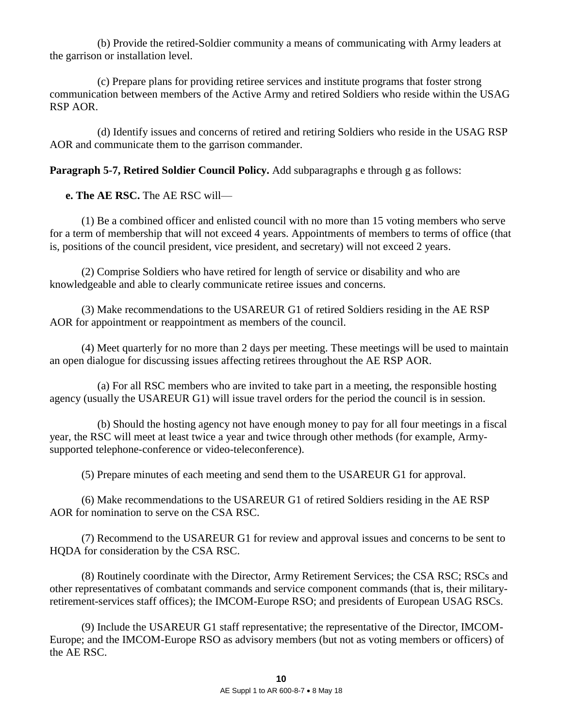(b) Provide the retired-Soldier community a means of communicating with Army leaders at the garrison or installation level.

 (c) Prepare plans for providing retiree services and institute programs that foster strong communication between members of the Active Army and retired Soldiers who reside within the USAG RSP AOR.

 (d) Identify issues and concerns of retired and retiring Soldiers who reside in the USAG RSP AOR and communicate them to the garrison commander.

**Paragraph 5-7, Retired Soldier Council Policy.** Add subparagraphs e through g as follows:

 **e. The AE RSC.** The AE RSC will—

 (1) Be a combined officer and enlisted council with no more than 15 voting members who serve for a term of membership that will not exceed 4 years. Appointments of members to terms of office (that is, positions of the council president, vice president, and secretary) will not exceed 2 years.

 (2) Comprise Soldiers who have retired for length of service or disability and who are knowledgeable and able to clearly communicate retiree issues and concerns.

 (3) Make recommendations to the USAREUR G1 of retired Soldiers residing in the AE RSP AOR for appointment or reappointment as members of the council.

 (4) Meet quarterly for no more than 2 days per meeting. These meetings will be used to maintain an open dialogue for discussing issues affecting retirees throughout the AE RSP AOR.

 (a) For all RSC members who are invited to take part in a meeting, the responsible hosting agency (usually the USAREUR G1) will issue travel orders for the period the council is in session.

 (b) Should the hosting agency not have enough money to pay for all four meetings in a fiscal year, the RSC will meet at least twice a year and twice through other methods (for example, Armysupported telephone-conference or video-teleconference).

(5) Prepare minutes of each meeting and send them to the USAREUR G1 for approval.

 (6) Make recommendations to the USAREUR G1 of retired Soldiers residing in the AE RSP AOR for nomination to serve on the CSA RSC.

 (7) Recommend to the USAREUR G1 for review and approval issues and concerns to be sent to HQDA for consideration by the CSA RSC.

 (8) Routinely coordinate with the Director, Army Retirement Services; the CSA RSC; RSCs and other representatives of combatant commands and service component commands (that is, their militaryretirement-services staff offices); the IMCOM-Europe RSO; and presidents of European USAG RSCs.

 (9) Include the USAREUR G1 staff representative; the representative of the Director, IMCOM-Europe; and the IMCOM-Europe RSO as advisory members (but not as voting members or officers) of the AE RSC.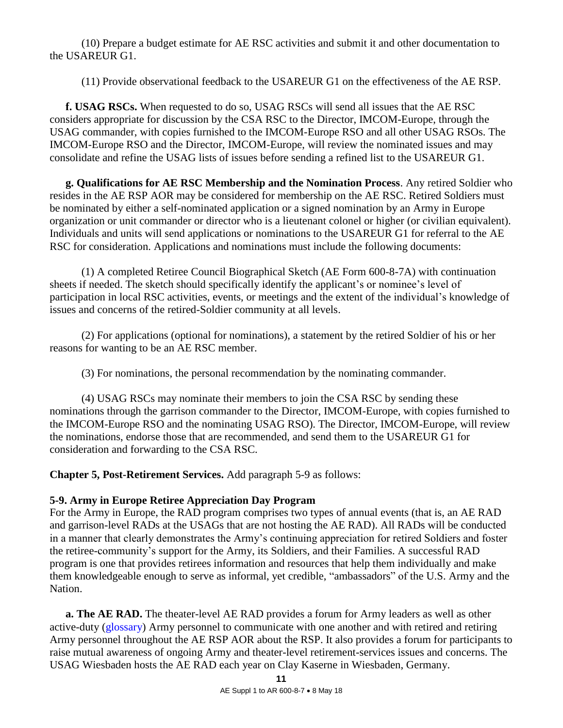(10) Prepare a budget estimate for AE RSC activities and submit it and other documentation to the USAREUR G1.

(11) Provide observational feedback to the USAREUR G1 on the effectiveness of the AE RSP.

 **f. USAG RSCs.** When requested to do so, USAG RSCs will send all issues that the AE RSC considers appropriate for discussion by the CSA RSC to the Director, IMCOM-Europe, through the USAG commander, with copies furnished to the IMCOM-Europe RSO and all other USAG RSOs. The IMCOM-Europe RSO and the Director, IMCOM-Europe, will review the nominated issues and may consolidate and refine the USAG lists of issues before sending a refined list to the USAREUR G1.

<span id="page-10-1"></span> **g. Qualifications for AE RSC Membership and the Nomination Process**. Any retired Soldier who resides in the AE RSP AOR may be considered for membership on the AE RSC. Retired Soldiers must be nominated by either a self-nominated application or a signed nomination by an Army in Europe organization or unit commander or director who is a lieutenant colonel or higher (or civilian equivalent). Individuals and units will send applications or nominations to the USAREUR G1 for referral to the AE RSC for consideration. Applications and nominations must include the following documents:

 (1) A completed Retiree Council Biographical Sketch (AE Form 600-8-7A) with continuation sheets if needed. The sketch should specifically identify the applicant's or nominee's level of participation in local RSC activities, events, or meetings and the extent of the individual's knowledge of issues and concerns of the retired-Soldier community at all levels.

 (2) For applications (optional for nominations), a statement by the retired Soldier of his or her reasons for wanting to be an AE RSC member.

(3) For nominations, the personal recommendation by the nominating commander.

 (4) USAG RSCs may nominate their members to join the CSA RSC by sending these nominations through the garrison commander to the Director, IMCOM-Europe, with copies furnished to the IMCOM-Europe RSO and the nominating USAG RSO). The Director, IMCOM-Europe, will review the nominations, endorse those that are recommended, and send them to the USAREUR G1 for consideration and forwarding to the CSA RSC.

**Chapter 5, Post-Retirement Services.** Add paragraph 5-9 as follows:

# <span id="page-10-0"></span>**5-9. Army in Europe Retiree Appreciation Day Program**

For the Army in Europe, the RAD program comprises two types of annual events (that is, an AE RAD and garrison-level RADs at the USAGs that are not hosting the AE RAD). All RADs will be conducted in a manner that clearly demonstrates the Army's continuing appreciation for retired Soldiers and foster the retiree-community's support for the Army, its Soldiers, and their Families. A successful RAD program is one that provides retirees information and resources that help them individually and make them knowledgeable enough to serve as informal, yet credible, "ambassadors" of the U.S. Army and the Nation.

**a. The AE RAD.** The theater-level AE RAD provides a forum for Army leaders as well as other active-duty [\(glossary\)](#page-19-1) Army personnel to communicate with one another and with retired and retiring Army personnel throughout the AE RSP AOR about the RSP. It also provides a forum for participants to raise mutual awareness of ongoing Army and theater-level retirement-services issues and concerns. The USAG Wiesbaden hosts the AE RAD each year on Clay Kaserne in Wiesbaden, Germany.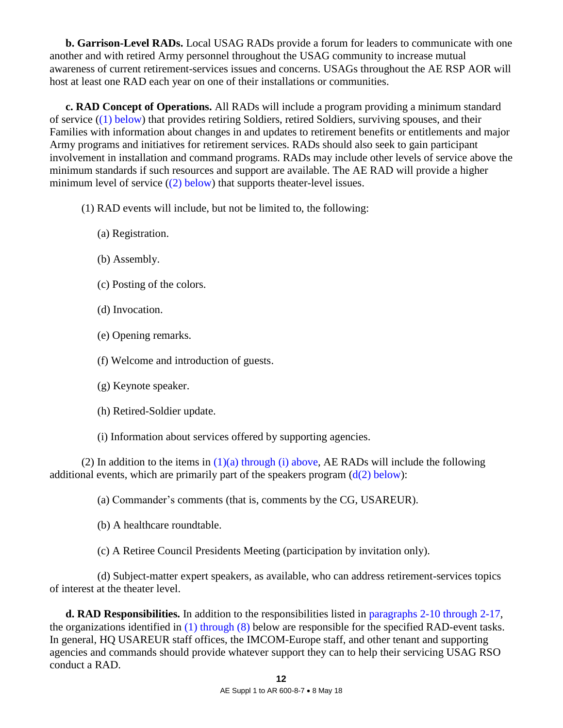**b. Garrison-Level RADs.** Local USAG RADs provide a forum for leaders to communicate with one another and with retired Army personnel throughout the USAG community to increase mutual awareness of current retirement-services issues and concerns. USAGs throughout the AE RSP AOR will host at least one RAD each year on one of their installations or communities.

 **c. RAD Concept of Operations.** All RADs will include a program providing a minimum standard of service [\(\(1\) below\)](#page-11-0) that provides retiring Soldiers, retired Soldiers, surviving spouses, and their Families with information about changes in and updates to retirement benefits or entitlements and major Army programs and initiatives for retirement services. RADs should also seek to gain participant involvement in installation and command programs. RADs may include other levels of service above the minimum standards if such resources and support are available. The AE RAD will provide a higher minimum level of service  $(2)$  below) that supports theater-level issues.

<span id="page-11-0"></span>(1) RAD events will include, but not be limited to, the following:

- <span id="page-11-2"></span>(a) Registration.
- (b) Assembly.
- (c) Posting of the colors.
- (d) Invocation.
- (e) Opening remarks.
- (f) Welcome and introduction of guests.
- (g) Keynote speaker.
- (h) Retired-Soldier update.
- (i) Information about services offered by supporting agencies.

<span id="page-11-1"></span>(2) In addition to the items in  $(1)(a)$  through (i) above, AE RADs will include the following additional events, which are primarily part of the speakers program  $(d(2)$  below):

(a) Commander's comments (that is, comments by the CG, USAREUR).

(b) A healthcare roundtable.

(c) A Retiree Council Presidents Meeting (participation by invitation only).

 (d) Subject-matter expert speakers, as available, who can address retirement-services topics of interest at the theater level.

 **d. RAD Responsibilities.** In addition to the responsibilities listed in [paragraphs 2-10 through 2-17,](#page-4-0) the organizations identified in [\(1\) through \(8\)](#page-12-2) below are responsible for the specified RAD-event tasks. In general, HQ USAREUR staff offices, the IMCOM-Europe staff, and other tenant and supporting agencies and commands should provide whatever support they can to help their servicing USAG RSO conduct a RAD.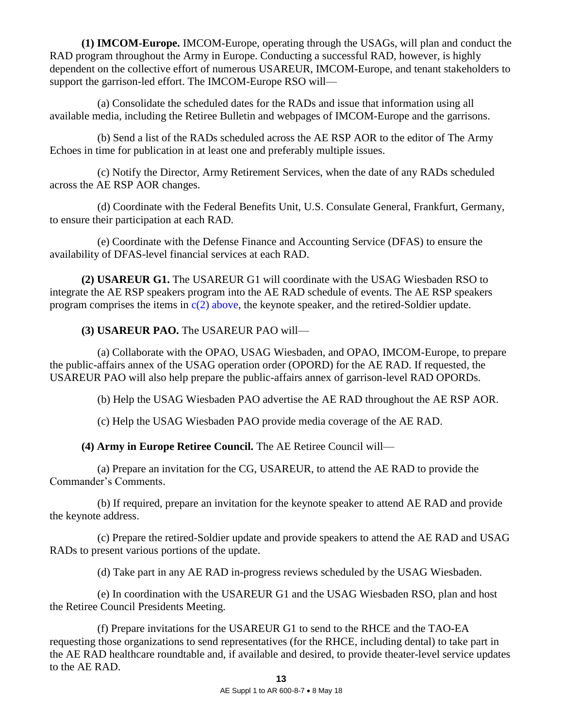<span id="page-12-2"></span> **(1) IMCOM-Europe.** IMCOM-Europe, operating through the USAGs, will plan and conduct the RAD program throughout the Army in Europe. Conducting a successful RAD, however, is highly dependent on the collective effort of numerous USAREUR, IMCOM-Europe, and tenant stakeholders to support the garrison-led effort. The IMCOM-Europe RSO will—

 (a) Consolidate the scheduled dates for the RADs and issue that information using all available media, including the Retiree Bulletin and webpages of IMCOM-Europe and the garrisons.

 (b) Send a list of the RADs scheduled across the AE RSP AOR to the editor of The Army Echoes in time for publication in at least one and preferably multiple issues.

 (c) Notify the Director, Army Retirement Services, when the date of any RADs scheduled across the AE RSP AOR changes.

 (d) Coordinate with the Federal Benefits Unit, U.S. Consulate General, Frankfurt, Germany, to ensure their participation at each RAD.

 (e) Coordinate with the Defense Finance and Accounting Service (DFAS) to ensure the availability of DFAS-level financial services at each RAD.

<span id="page-12-1"></span> **(2) USAREUR G1.** The USAREUR G1 will coordinate with the USAG Wiesbaden RSO to integrate the AE RSP speakers program into the AE RAD schedule of events. The AE RSP speakers program comprises the items in  $c(2)$  above, the keynote speaker, and the retired-Soldier update.

<span id="page-12-0"></span> **(3) USAREUR PAO.** The USAREUR PAO will—

 (a) Collaborate with the OPAO, USAG Wiesbaden, and OPAO, IMCOM-Europe, to prepare the public-affairs annex of the USAG operation order (OPORD) for the AE RAD. If requested, the USAREUR PAO will also help prepare the public-affairs annex of garrison-level RAD OPORDs.

(b) Help the USAG Wiesbaden PAO advertise the AE RAD throughout the AE RSP AOR.

(c) Help the USAG Wiesbaden PAO provide media coverage of the AE RAD.

 **(4) Army in Europe Retiree Council.** The AE Retiree Council will—

 (a) Prepare an invitation for the CG, USAREUR, to attend the AE RAD to provide the Commander's Comments.

 (b) If required, prepare an invitation for the keynote speaker to attend AE RAD and provide the keynote address.

 (c) Prepare the retired-Soldier update and provide speakers to attend the AE RAD and USAG RADs to present various portions of the update.

(d) Take part in any AE RAD in-progress reviews scheduled by the USAG Wiesbaden.

 (e) In coordination with the USAREUR G1 and the USAG Wiesbaden RSO, plan and host the Retiree Council Presidents Meeting.

 (f) Prepare invitations for the USAREUR G1 to send to the RHCE and the TAO-EA requesting those organizations to send representatives (for the RHCE, including dental) to take part in the AE RAD healthcare roundtable and, if available and desired, to provide theater-level service updates to the AE RAD.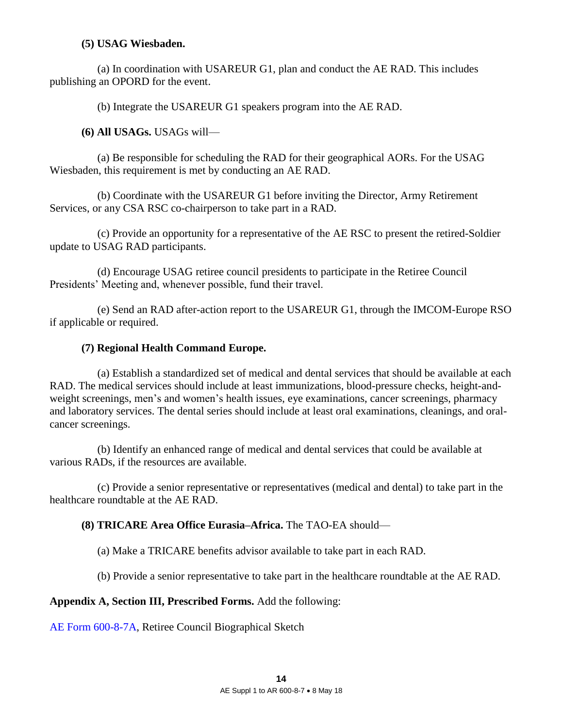### **(5) USAG Wiesbaden.**

 (a) In coordination with USAREUR G1, plan and conduct the AE RAD. This includes publishing an OPORD for the event.

(b) Integrate the USAREUR G1 speakers program into the AE RAD.

 **(6) All USAGs.** USAGs will—

 (a) Be responsible for scheduling the RAD for their geographical AORs. For the USAG Wiesbaden, this requirement is met by conducting an AE RAD.

 (b) Coordinate with the USAREUR G1 before inviting the Director, Army Retirement Services, or any CSA RSC co-chairperson to take part in a RAD.

 (c) Provide an opportunity for a representative of the AE RSC to present the retired-Soldier update to USAG RAD participants.

 (d) Encourage USAG retiree council presidents to participate in the Retiree Council Presidents' Meeting and, whenever possible, fund their travel.

 (e) Send an RAD after-action report to the USAREUR G1, through the IMCOM-Europe RSO if applicable or required.

### <span id="page-13-0"></span> **(7) Regional Health Command Europe.**

 (a) Establish a standardized set of medical and dental services that should be available at each RAD. The medical services should include at least immunizations, blood-pressure checks, height-andweight screenings, men's and women's health issues, eye examinations, cancer screenings, pharmacy and laboratory services. The dental series should include at least oral examinations, cleanings, and oralcancer screenings.

 (b) Identify an enhanced range of medical and dental services that could be available at various RADs, if the resources are available.

 (c) Provide a senior representative or representatives (medical and dental) to take part in the healthcare roundtable at the AE RAD.

# <span id="page-13-1"></span> **(8) TRICARE Area Office Eurasia–Africa.** The TAO-EA should—

(a) Make a TRICARE benefits advisor available to take part in each RAD.

(b) Provide a senior representative to take part in the healthcare roundtable at the AE RAD.

**Appendix A, Section III, Prescribed Forms.** Add the following:

AE Form 600-8-7A, Retiree Council Biographical Sketch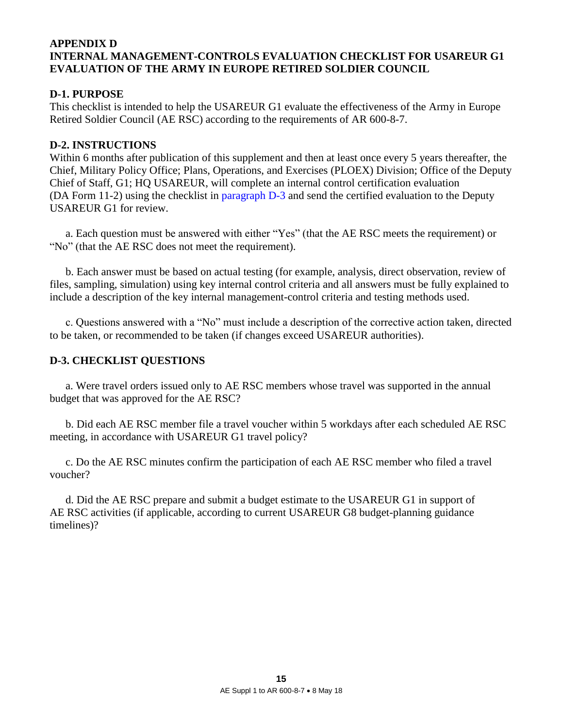## <span id="page-14-0"></span>**APPENDIX D INTERNAL MANAGEMENT-CONTROLS EVALUATION CHECKLIST FOR USAREUR G1 EVALUATION OF THE ARMY IN EUROPE RETIRED SOLDIER COUNCIL**

# **D-1. PURPOSE**

This checklist is intended to help the USAREUR G1 evaluate the effectiveness of the Army in Europe Retired Soldier Council (AE RSC) according to the requirements of AR 600-8-7.

## **D-2. INSTRUCTIONS**

Within 6 months after publication of this supplement and then at least once every 5 years thereafter, the Chief, Military Policy Office; Plans, Operations, and Exercises (PLOEX) Division; Office of the Deputy Chief of Staff, G1; HQ USAREUR, will complete an internal control certification evaluation (DA Form 11-2) using the checklist in [paragraph D-3](#page-14-1) and send the certified evaluation to the Deputy USAREUR G1 for review.

 a. Each question must be answered with either "Yes" (that the AE RSC meets the requirement) or "No" (that the AE RSC does not meet the requirement).

 b. Each answer must be based on actual testing (for example, analysis, direct observation, review of files, sampling, simulation) using key internal control criteria and all answers must be fully explained to include a description of the key internal management-control criteria and testing methods used.

c. Questions answered with a "No" must include a description of the corrective action taken, directed to be taken, or recommended to be taken (if changes exceed USAREUR authorities).

# <span id="page-14-1"></span>**D-3. CHECKLIST QUESTIONS**

 a. Were travel orders issued only to AE RSC members whose travel was supported in the annual budget that was approved for the AE RSC?

 b. Did each AE RSC member file a travel voucher within 5 workdays after each scheduled AE RSC meeting, in accordance with USAREUR G1 travel policy?

c. Do the AE RSC minutes confirm the participation of each AE RSC member who filed a travel voucher?

 d. Did the AE RSC prepare and submit a budget estimate to the USAREUR G1 in support of AE RSC activities (if applicable, according to current USAREUR G8 budget-planning guidance timelines)?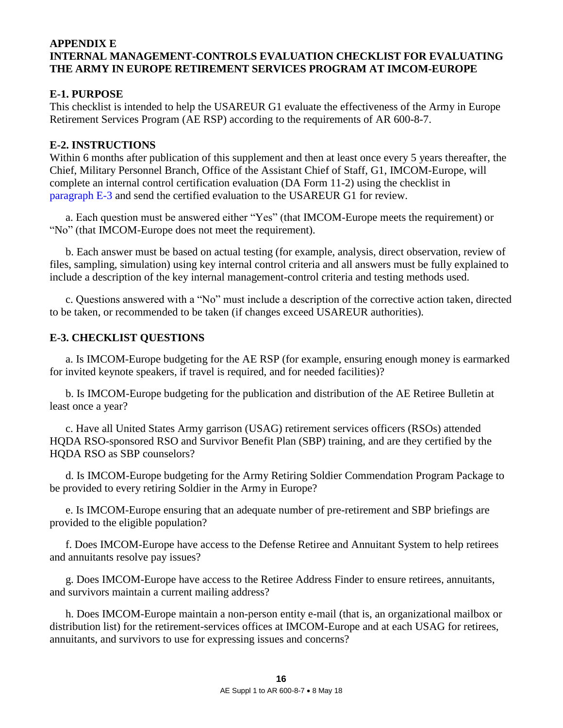## <span id="page-15-0"></span>**APPENDIX E INTERNAL MANAGEMENT-CONTROLS EVALUATION CHECKLIST FOR EVALUATING THE ARMY IN EUROPE RETIREMENT SERVICES PROGRAM AT IMCOM-EUROPE**

# **E-1. PURPOSE**

This checklist is intended to help the USAREUR G1 evaluate the effectiveness of the Army in Europe Retirement Services Program (AE RSP) according to the requirements of AR 600-8-7.

## <span id="page-15-1"></span>**E-2. INSTRUCTIONS**

Within 6 months after publication of this supplement and then at least once every 5 years thereafter, the Chief, Military Personnel Branch, Office of the Assistant Chief of Staff, G1, IMCOM-Europe, will complete an internal control certification evaluation (DA Form 11-2) using the checklist in [paragraph E-3](#page-15-2) and send the certified evaluation to the USAREUR G1 for review.

 a. Each question must be answered either "Yes" (that IMCOM-Europe meets the requirement) or "No" (that IMCOM-Europe does not meet the requirement).

 b. Each answer must be based on actual testing (for example, analysis, direct observation, review of files, sampling, simulation) using key internal control criteria and all answers must be fully explained to include a description of the key internal management-control criteria and testing methods used.

 c. Questions answered with a "No" must include a description of the corrective action taken, directed to be taken, or recommended to be taken (if changes exceed USAREUR authorities).

## <span id="page-15-2"></span>**E-3. CHECKLIST QUESTIONS**

 a. Is IMCOM-Europe budgeting for the AE RSP (for example, ensuring enough money is earmarked for invited keynote speakers, if travel is required, and for needed facilities)?

 b. Is IMCOM-Europe budgeting for the publication and distribution of the AE Retiree Bulletin at least once a year?

 c. Have all United States Army garrison (USAG) retirement services officers (RSOs) attended HQDA RSO-sponsored RSO and Survivor Benefit Plan (SBP) training, and are they certified by the HQDA RSO as SBP counselors?

 d. Is IMCOM-Europe budgeting for the Army Retiring Soldier Commendation Program Package to be provided to every retiring Soldier in the Army in Europe?

 e. Is IMCOM-Europe ensuring that an adequate number of pre-retirement and SBP briefings are provided to the eligible population?

 f. Does IMCOM-Europe have access to the Defense Retiree and Annuitant System to help retirees and annuitants resolve pay issues?

 g. Does IMCOM-Europe have access to the Retiree Address Finder to ensure retirees, annuitants, and survivors maintain a current mailing address?

 h. Does IMCOM-Europe maintain a non-person entity e-mail (that is, an organizational mailbox or distribution list) for the retirement-services offices at IMCOM-Europe and at each USAG for retirees, annuitants, and survivors to use for expressing issues and concerns?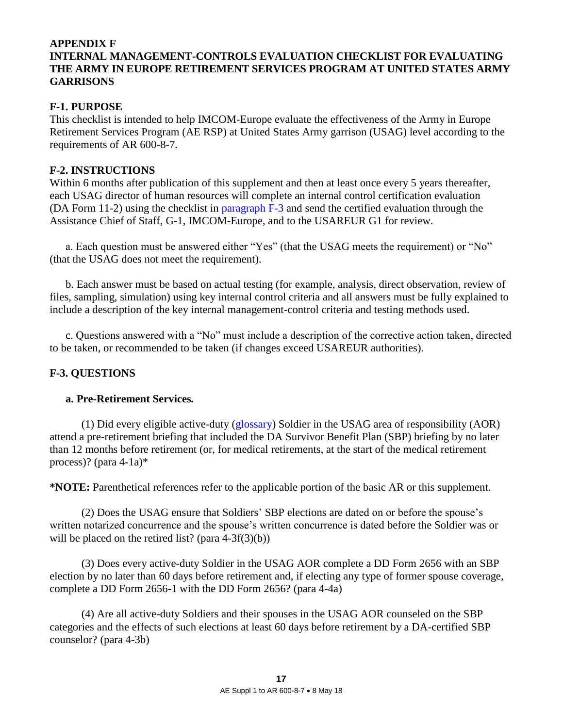# <span id="page-16-0"></span>**APPENDIX F INTERNAL MANAGEMENT-CONTROLS EVALUATION CHECKLIST FOR EVALUATING THE ARMY IN EUROPE RETIREMENT SERVICES PROGRAM AT UNITED STATES ARMY GARRISONS**

## **F-1. PURPOSE**

This checklist is intended to help IMCOM-Europe evaluate the effectiveness of the Army in Europe Retirement Services Program (AE RSP) at United States Army garrison (USAG) level according to the requirements of AR 600-8-7.

### <span id="page-16-1"></span>**F-2. INSTRUCTIONS**

Within 6 months after publication of this supplement and then at least once every 5 years thereafter, each USAG director of human resources will complete an internal control certification evaluation (DA Form 11-2) using the checklist in [paragraph F-3](#page-16-2) and send the certified evaluation through the Assistance Chief of Staff, G-1, IMCOM-Europe, and to the USAREUR G1 for review.

a. Each question must be answered either "Yes" (that the USAG meets the requirement) or "No" (that the USAG does not meet the requirement).

 b. Each answer must be based on actual testing (for example, analysis, direct observation, review of files, sampling, simulation) using key internal control criteria and all answers must be fully explained to include a description of the key internal management-control criteria and testing methods used.

 c. Questions answered with a "No" must include a description of the corrective action taken, directed to be taken, or recommended to be taken (if changes exceed USAREUR authorities).

# <span id="page-16-2"></span>**F-3. QUESTIONS**

### **a. Pre-Retirement Services***.*

 (1) Did every eligible active-duty [\(glossary\)](#page-19-1) Soldier in the USAG area of responsibility (AOR) attend a pre-retirement briefing that included the DA Survivor Benefit Plan (SBP) briefing by no later than 12 months before retirement (or, for medical retirements, at the start of the medical retirement process)? (para 4-1a)\*

**\*NOTE:** Parenthetical references refer to the applicable portion of the basic AR or this supplement.

 (2) Does the USAG ensure that Soldiers' SBP elections are dated on or before the spouse's written notarized concurrence and the spouse's written concurrence is dated before the Soldier was or will be placed on the retired list? (para  $4-3f(3)(b)$ )

 (3) Does every active-duty Soldier in the USAG AOR complete a DD Form 2656 with an SBP election by no later than 60 days before retirement and, if electing any type of former spouse coverage, complete a DD Form 2656-1 with the DD Form 2656? (para 4-4a)

 (4) Are all active-duty Soldiers and their spouses in the USAG AOR counseled on the SBP categories and the effects of such elections at least 60 days before retirement by a DA-certified SBP counselor? (para 4-3b)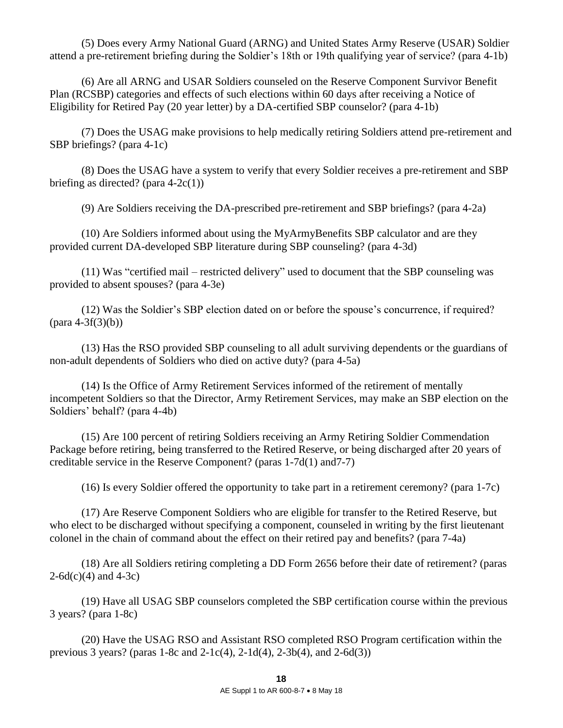(5) Does every Army National Guard (ARNG) and United States Army Reserve (USAR) Soldier attend a pre-retirement briefing during the Soldier's 18th or 19th qualifying year of service? (para 4-1b)

 (6) Are all ARNG and USAR Soldiers counseled on the Reserve Component Survivor Benefit Plan (RCSBP) categories and effects of such elections within 60 days after receiving a Notice of Eligibility for Retired Pay (20 year letter) by a DA-certified SBP counselor? (para 4-1b)

 (7) Does the USAG make provisions to help medically retiring Soldiers attend pre-retirement and SBP briefings? (para 4-1c)

 (8) Does the USAG have a system to verify that every Soldier receives a pre-retirement and SBP briefing as directed? (para  $4-2c(1)$ )

(9) Are Soldiers receiving the DA-prescribed pre-retirement and SBP briefings? (para 4-2a)

 (10) Are Soldiers informed about using the MyArmyBenefits SBP calculator and are they provided current DA-developed SBP literature during SBP counseling? (para 4-3d)

 (11) Was "certified mail – restricted delivery" used to document that the SBP counseling was provided to absent spouses? (para 4-3e)

 (12) Was the Soldier's SBP election dated on or before the spouse's concurrence, if required?  $(para 4-3f(3)(b))$ 

 (13) Has the RSO provided SBP counseling to all adult surviving dependents or the guardians of non-adult dependents of Soldiers who died on active duty? (para 4-5a)

 (14) Is the Office of Army Retirement Services informed of the retirement of mentally incompetent Soldiers so that the Director, Army Retirement Services, may make an SBP election on the Soldiers' behalf? (para 4-4b)

 (15) Are 100 percent of retiring Soldiers receiving an Army Retiring Soldier Commendation Package before retiring, being transferred to the Retired Reserve, or being discharged after 20 years of creditable service in the Reserve Component? (paras 1-7d(1) and7-7)

(16) Is every Soldier offered the opportunity to take part in a retirement ceremony? (para 1-7c)

 (17) Are Reserve Component Soldiers who are eligible for transfer to the Retired Reserve, but who elect to be discharged without specifying a component, counseled in writing by the first lieutenant colonel in the chain of command about the effect on their retired pay and benefits? (para 7-4a)

 (18) Are all Soldiers retiring completing a DD Form 2656 before their date of retirement? (paras  $2-6d(c)(4)$  and  $4-3c$ )

 (19) Have all USAG SBP counselors completed the SBP certification course within the previous 3 years? (para 1-8c)

 (20) Have the USAG RSO and Assistant RSO completed RSO Program certification within the previous 3 years? (paras  $1-8c$  and  $2-1c(4)$ ,  $2-1d(4)$ ,  $2-3b(4)$ , and  $2-6d(3)$ )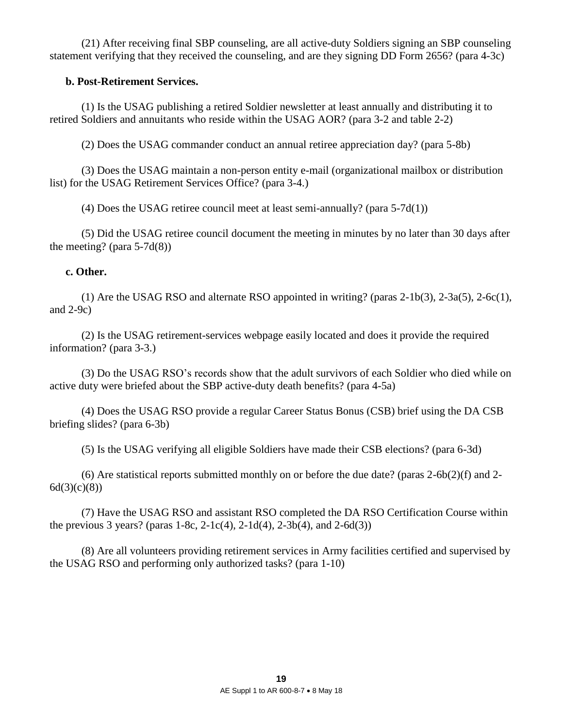(21) After receiving final SBP counseling, are all active-duty Soldiers signing an SBP counseling statement verifying that they received the counseling, and are they signing DD Form 2656? (para 4-3c)

## **b. Post-Retirement Services.**

 (1) Is the USAG publishing a retired Soldier newsletter at least annually and distributing it to retired Soldiers and annuitants who reside within the USAG AOR? (para 3-2 and table 2-2)

(2) Does the USAG commander conduct an annual retiree appreciation day? (para 5-8b)

 (3) Does the USAG maintain a non-person entity e-mail (organizational mailbox or distribution list) for the USAG Retirement Services Office? (para 3-4.)

(4) Does the USAG retiree council meet at least semi-annually? (para 5-7d(1))

 (5) Did the USAG retiree council document the meeting in minutes by no later than 30 days after the meeting? (para  $5-7d(8)$ )

# **c. Other.**

 (1) Are the USAG RSO and alternate RSO appointed in writing? (paras 2-1b(3), 2-3a(5), 2-6c(1), and 2-9c)

 (2) Is the USAG retirement-services webpage easily located and does it provide the required information? (para 3-3.)

 (3) Do the USAG RSO's records show that the adult survivors of each Soldier who died while on active duty were briefed about the SBP active-duty death benefits? (para 4-5a)

 (4) Does the USAG RSO provide a regular Career Status Bonus (CSB) brief using the DA CSB briefing slides? (para 6-3b)

(5) Is the USAG verifying all eligible Soldiers have made their CSB elections? (para 6-3d)

 (6) Are statistical reports submitted monthly on or before the due date? (paras 2-6b(2)(f) and 2-  $6d(3)(c)(8)$ 

 (7) Have the USAG RSO and assistant RSO completed the DA RSO Certification Course within the previous 3 years? (paras  $1-8c$ ,  $2-1c(4)$ ,  $2-1d(4)$ ,  $2-3b(4)$ , and  $2-6d(3)$ )

 (8) Are all volunteers providing retirement services in Army facilities certified and supervised by the USAG RSO and performing only authorized tasks? (para 1-10)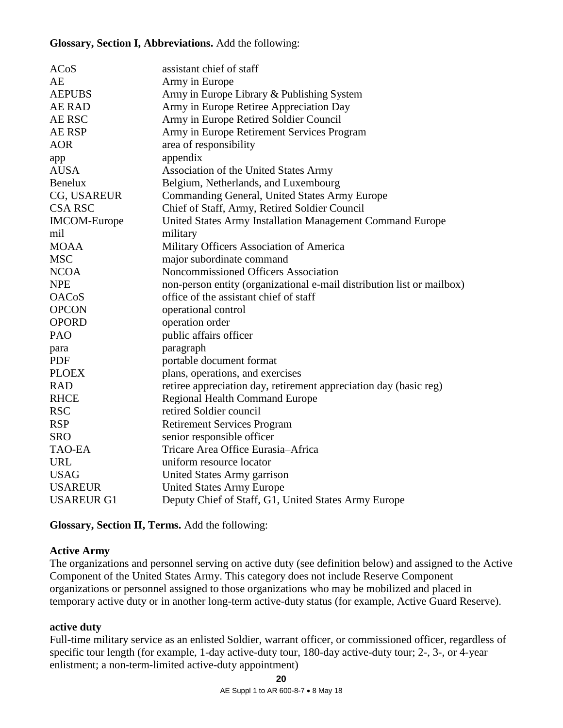### **Glossary, Section I, Abbreviations.** Add the following:

| ACoS                | assistant chief of staff                                               |
|---------------------|------------------------------------------------------------------------|
| AE                  | Army in Europe                                                         |
| <b>AEPUBS</b>       | Army in Europe Library & Publishing System                             |
| AE RAD              | Army in Europe Retiree Appreciation Day                                |
| AE RSC              | Army in Europe Retired Soldier Council                                 |
| <b>AE RSP</b>       | Army in Europe Retirement Services Program                             |
| <b>AOR</b>          | area of responsibility                                                 |
| app                 | appendix                                                               |
| <b>AUSA</b>         | Association of the United States Army                                  |
| <b>Benelux</b>      | Belgium, Netherlands, and Luxembourg                                   |
| CG, USAREUR         | Commanding General, United States Army Europe                          |
| <b>CSA RSC</b>      | Chief of Staff, Army, Retired Soldier Council                          |
| <b>IMCOM-Europe</b> | United States Army Installation Management Command Europe              |
| mil                 | military                                                               |
| <b>MOAA</b>         | Military Officers Association of America                               |
| <b>MSC</b>          | major subordinate command                                              |
| <b>NCOA</b>         | Noncommissioned Officers Association                                   |
| <b>NPE</b>          | non-person entity (organizational e-mail distribution list or mailbox) |
| <b>OACoS</b>        | office of the assistant chief of staff                                 |
| <b>OPCON</b>        | operational control                                                    |
| <b>OPORD</b>        | operation order                                                        |
| PAO                 | public affairs officer                                                 |
| para                | paragraph                                                              |
| <b>PDF</b>          | portable document format                                               |
| <b>PLOEX</b>        | plans, operations, and exercises                                       |
| <b>RAD</b>          | retiree appreciation day, retirement appreciation day (basic reg)      |
| <b>RHCE</b>         | <b>Regional Health Command Europe</b>                                  |
| <b>RSC</b>          | retired Soldier council                                                |
| <b>RSP</b>          | <b>Retirement Services Program</b>                                     |
| <b>SRO</b>          | senior responsible officer                                             |
| <b>TAO-EA</b>       | Tricare Area Office Eurasia-Africa                                     |
| <b>URL</b>          | uniform resource locator                                               |
| <b>USAG</b>         | United States Army garrison                                            |
| <b>USAREUR</b>      | <b>United States Army Europe</b>                                       |
| <b>USAREUR G1</b>   | Deputy Chief of Staff, G1, United States Army Europe                   |

**Glossary, Section II, Terms.** Add the following:

# <span id="page-19-0"></span>**Active Army**

The organizations and personnel serving on active duty (see definition below) and assigned to the Active Component of the United States Army. This category does not include Reserve Component organizations or personnel assigned to those organizations who may be mobilized and placed in temporary active duty or in another long-term active-duty status (for example, Active Guard Reserve).

### <span id="page-19-1"></span>**active duty**

Full-time military service as an enlisted Soldier, warrant officer, or commissioned officer, regardless of specific tour length (for example, 1-day active-duty tour, 180-day active-duty tour; 2-, 3-, or 4-year enlistment; a non-term-limited active-duty appointment)